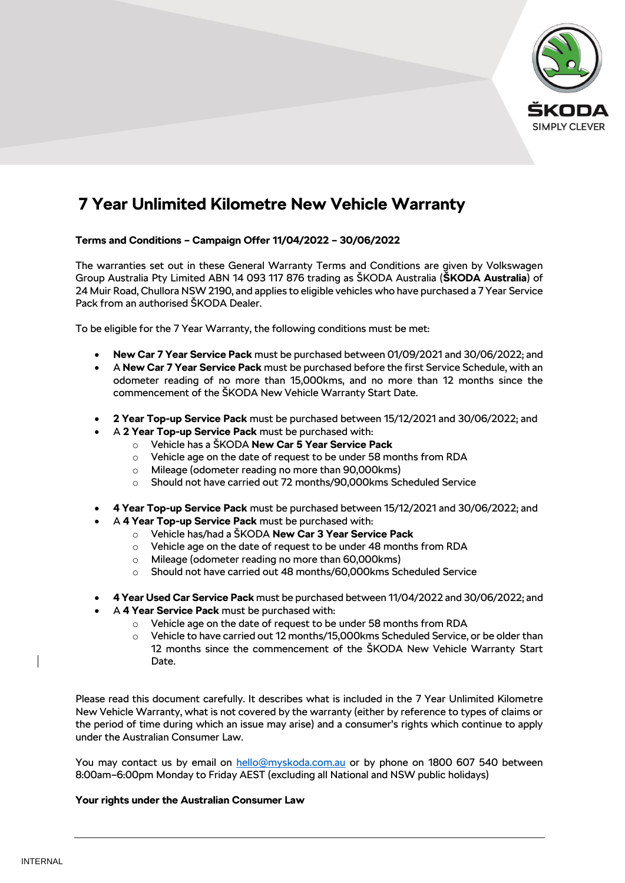

# **7 Year Unlimited Kilometre New Vehicle Warranty**

# **Terms and Conditions – Campaign Offer 11/04/2022 – 30/06/2022**

The warranties set out in these General Warranty Terms and Conditions are given by Volkswagen Group Australia Pty Limited ABN 14 093 117 876 trading as ŠKODA Australia (**ŠKODA Australia**) of 24 Muir Road, Chullora NSW 2190, and applies to eligible vehicles who have purchased a 7 Year Service Pack from an authorised ŠKODA Dealer.

To be eligible for the 7 Year Warranty, the following conditions must be met:

- **New Car 7 Year Service Pack** must be purchased between 01/09/2021 and 30/06/2022; and
- A **New Car 7 Year Service Pack** must be purchased before the first Service Schedule, with an odometer reading of no more than 15,000kms, and no more than 12 months since the commencement of the ŠKODA New Vehicle Warranty Start Date.
- **2 Year Top-up Service Pack** must be purchased between 15/12/2021 and 30/06/2022; and
- A **2 Year Top-up Service Pack** must be purchased with:
	- o Vehicle has a ŠKODA **New Car 5 Year Service Pack**
	- o Vehicle age on the date of request to be under 58 months from RDA
	- o Mileage (odometer reading no more than 90,000kms)
	- $\circ$  Should not have carried out 72 months/90,000 kms Scheduled Service
- **4 Year Top-up Service Pack** must be purchased between 15/12/2021 and 30/06/2022; and
- A **4 Year Top-up Service Pack** must be purchased with:
	- o Vehicle has/had a ŠKODA **New Car 3 Year Service Pack**
	- o Vehicle age on the date of request to be under 48 months from RDA
	- o Mileage (odometer reading no more than 60,000kms)
	- o Should not have carried out 48 months/60,000kms Scheduled Service
- **4 Year Used Car Service Pack** must be purchased between 11/04/2022 and 30/06/2022; and
- A **4 Year Service Pack** must be purchased with:
	- o Vehicle age on the date of request to be under 58 months from RDA
	- $\circ$  Vehicle to have carried out 12 months/15,000kms Scheduled Service, or be older than 12 months since the commencement of the ŠKODA New Vehicle Warranty Start Date.

Please read this document carefully. It describes what is included in the 7 Year Unlimited Kilometre New Vehicle Warranty, what is not covered by the warranty (either by reference to types of claims or the period of time during which an issue may arise) and a consumer's rights which continue to apply under the Australian Consumer Law.

You may contact us by email on [hello@myskoda.com.au](mailto:hello@myskoda.com.au) or by phone on 1800 607 540 between 8:00am–6:00pm Monday to Friday AEST (excluding all National and NSW public holidays)

## **Your rights under the Australian Consumer Law**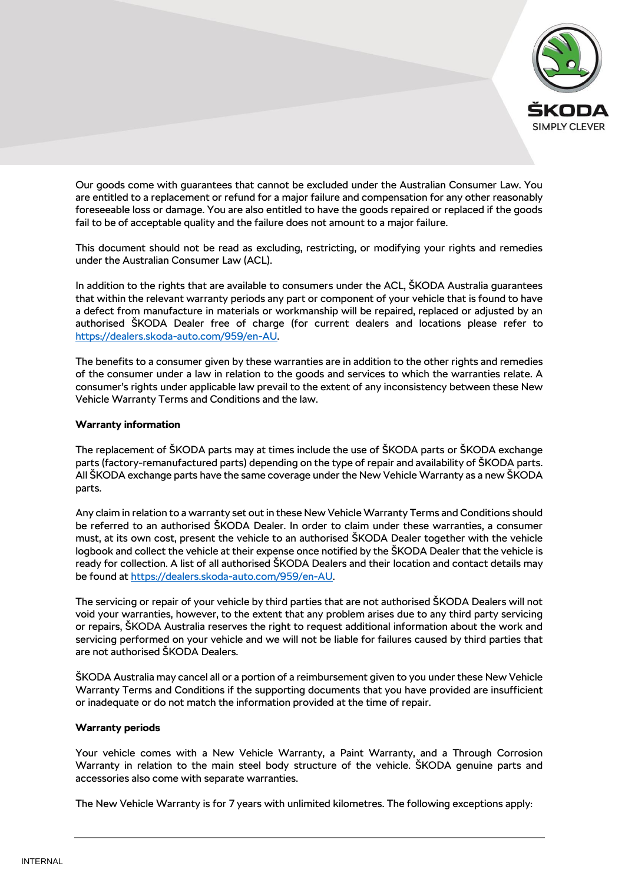

Our goods come with guarantees that cannot be excluded under the Australian Consumer Law. You are entitled to a replacement or refund for a major failure and compensation for any other reasonably foreseeable loss or damage. You are also entitled to have the goods repaired or replaced if the goods fail to be of acceptable quality and the failure does not amount to a major failure.

This document should not be read as excluding, restricting, or modifying your rights and remedies under the Australian Consumer Law (ACL).

In addition to the rights that are available to consumers under the ACL, ŠKODA Australia guarantees that within the relevant warranty periods any part or component of your vehicle that is found to have a defect from manufacture in materials or workmanship will be repaired, replaced or adjusted by an authorised ŠKODA Dealer free of charge (for current dealers and locations please refer to [https://dealers.skoda-auto.com/959/en-AU.](https://dealers.skoda-auto.com/959/en-AU)

The benefits to a consumer given by these warranties are in addition to the other rights and remedies of the consumer under a law in relation to the goods and services to which the warranties relate. A consumer's rights under applicable law prevail to the extent of any inconsistency between these New Vehicle Warranty Terms and Conditions and the law.

## **Warranty information**

The replacement of ŠKODA parts may at times include the use of ŠKODA parts or ŠKODA exchange parts (factory-remanufactured parts) depending on the type of repair and availability of ŠKODA parts. All ŠKODA exchange parts have the same coverage under the New Vehicle Warranty as a new ŠKODA parts.

Any claim in relation to a warranty set out in these New Vehicle Warranty Terms and Conditions should be referred to an authorised ŠKODA Dealer. In order to claim under these warranties, a consumer must, at its own cost, present the vehicle to an authorised ŠKODA Dealer together with the vehicle logbook and collect the vehicle at their expense once notified by the ŠKODA Dealer that the vehicle is ready for collection. A list of all authorised ŠKODA Dealers and their location and contact details may be found at [https://dealers.skoda-auto.com/959/en-AU.](https://dealers.skoda-auto.com/959/en-AU)

The servicing or repair of your vehicle by third parties that are not authorised ŠKODA Dealers will not void your warranties, however, to the extent that any problem arises due to any third party servicing or repairs, ŠKODA Australia reserves the right to request additional information about the work and servicing performed on your vehicle and we will not be liable for failures caused by third parties that are not authorised ŠKODA Dealers.

ŠKODA Australia may cancel all or a portion of a reimbursement given to you under these New Vehicle Warranty Terms and Conditions if the supporting documents that you have provided are insufficient or inadequate or do not match the information provided at the time of repair.

## **Warranty periods**

Your vehicle comes with a New Vehicle Warranty, a Paint Warranty, and a Through Corrosion Warranty in relation to the main steel body structure of the vehicle. ŠKODA genuine parts and accessories also come with separate warranties.

The New Vehicle Warranty is for 7 years with unlimited kilometres. The following exceptions apply: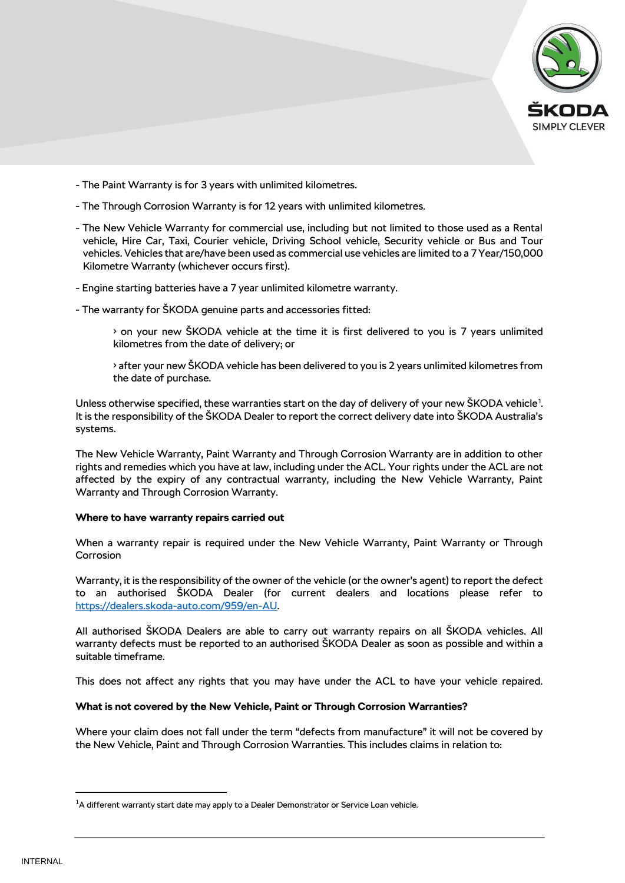

- The Paint Warranty is for 3 years with unlimited kilometres.
- The Through Corrosion Warranty is for 12 years with unlimited kilometres.
- The New Vehicle Warranty for commercial use, including but not limited to those used as a Rental vehicle, Hire Car, Taxi, Courier vehicle, Driving School vehicle, Security vehicle or Bus and Tour vehicles. Vehicles that are/have been used as commercial use vehicles are limited to a 7 Year/150,000 Kilometre Warranty (whichever occurs first).
- Engine starting batteries have a 7 year unlimited kilometre warranty.
- The warranty for ŠKODA genuine parts and accessories fitted:
	- on your new ŠKODA vehicle at the time it is first delivered to you is 7 years unlimited kilometres from the date of delivery; or
	- after your new ŠKODA vehicle has been delivered to you is 2 years unlimited kilometres from the date of purchase.

Unless otherwise specified, these warranties start on the day of delivery of your new SKODA vehicle<sup>1</sup>. It is the responsibility of the ŠKODA Dealer to report the correct delivery date into ŠKODA Australia's systems.

The New Vehicle Warranty, Paint Warranty and Through Corrosion Warranty are in addition to other rights and remedies which you have at law, including under the ACL. Your rights under the ACL are not affected by the expiry of any contractual warranty, including the New Vehicle Warranty, Paint Warranty and Through Corrosion Warranty.

#### **Where to have warranty repairs carried out**

When a warranty repair is required under the New Vehicle Warranty, Paint Warranty or Through **Corrosion** 

Warranty, it is the responsibility of the owner of the vehicle (or the owner's agent) to report the defect to an authorised ŠKODA Dealer (for current dealers and locations please refer to [https://dealers.skoda-auto.com/959/en-AU.](https://dealers.skoda-auto.com/959/en-AU)

All authorised ŠKODA Dealers are able to carry out warranty repairs on all ŠKODA vehicles. All warranty defects must be reported to an authorised ŠKODA Dealer as soon as possible and within a suitable timeframe.

This does not affect any rights that you may have under the ACL to have your vehicle repaired.

#### **What is not covered by the New Vehicle, Paint or Through Corrosion Warranties?**

Where your claim does not fall under the term "defects from manufacture" it will not be covered by the New Vehicle, Paint and Through Corrosion Warranties. This includes claims in relation to:

 $\overline{a}$ 

 $<sup>1</sup>A$  different warranty start date may apply to a Dealer Demonstrator or Service Loan vehicle.</sup>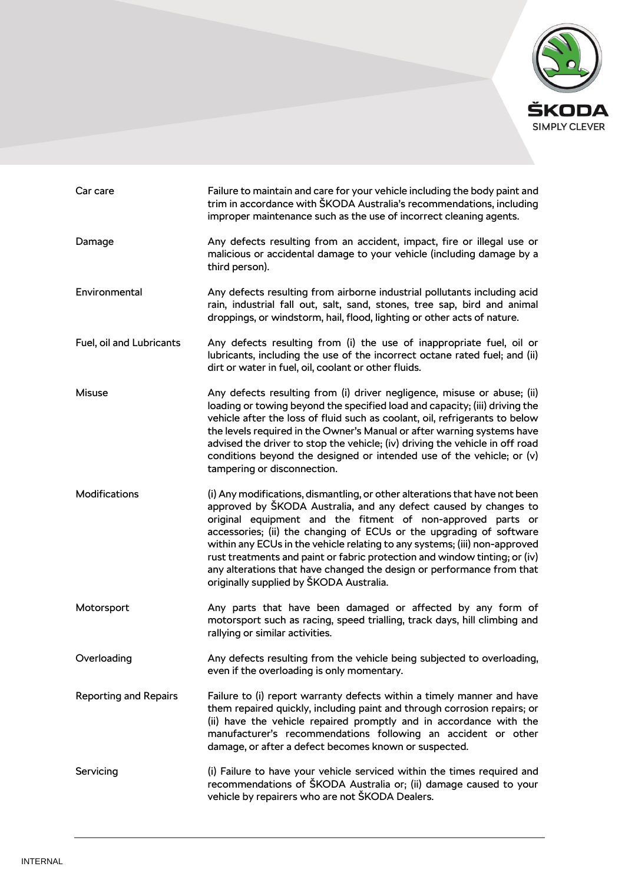

| Car care                     | Failure to maintain and care for your vehicle including the body paint and<br>trim in accordance with ŠKODA Australia's recommendations, including<br>improper maintenance such as the use of incorrect cleaning agents.                                                                                                                                                                                                                                                                                                                                              |
|------------------------------|-----------------------------------------------------------------------------------------------------------------------------------------------------------------------------------------------------------------------------------------------------------------------------------------------------------------------------------------------------------------------------------------------------------------------------------------------------------------------------------------------------------------------------------------------------------------------|
| Damage                       | Any defects resulting from an accident, impact, fire or illegal use or<br>malicious or accidental damage to your vehicle (including damage by a<br>third person).                                                                                                                                                                                                                                                                                                                                                                                                     |
| Environmental                | Any defects resulting from airborne industrial pollutants including acid<br>rain, industrial fall out, salt, sand, stones, tree sap, bird and animal<br>droppings, or windstorm, hail, flood, lighting or other acts of nature.                                                                                                                                                                                                                                                                                                                                       |
| Fuel, oil and Lubricants     | Any defects resulting from (i) the use of inappropriate fuel, oil or<br>lubricants, including the use of the incorrect octane rated fuel; and (ii)<br>dirt or water in fuel, oil, coolant or other fluids.                                                                                                                                                                                                                                                                                                                                                            |
| <b>Misuse</b>                | Any defects resulting from (i) driver negligence, misuse or abuse; (ii)<br>loading or towing beyond the specified load and capacity; (iii) driving the<br>vehicle after the loss of fluid such as coolant, oil, refrigerants to below<br>the levels required in the Owner's Manual or after warning systems have<br>advised the driver to stop the vehicle; (iv) driving the vehicle in off road<br>conditions beyond the designed or intended use of the vehicle; or (v)<br>tampering or disconnection.                                                              |
| Modifications                | (i) Any modifications, dismantling, or other alterations that have not been<br>approved by ŠKODA Australia, and any defect caused by changes to<br>original equipment and the fitment of non-approved parts or<br>accessories; (ii) the changing of ECUs or the upgrading of software<br>within any ECUs in the vehicle relating to any systems; (iii) non-approved<br>rust treatments and paint or fabric protection and window tinting; or (iv)<br>any alterations that have changed the design or performance from that<br>originally supplied by ŠKODA Australia. |
| Motorsport                   | Any parts that have been damaged or affected by any form of<br>motorsport such as racing, speed trialling, track days, hill climbing and<br>rallying or similar activities.                                                                                                                                                                                                                                                                                                                                                                                           |
| Overloading                  | Any defects resulting from the vehicle being subjected to overloading,<br>even if the overloading is only momentary.                                                                                                                                                                                                                                                                                                                                                                                                                                                  |
| <b>Reporting and Repairs</b> | Failure to (i) report warranty defects within a timely manner and have<br>them repaired quickly, including paint and through corrosion repairs; or<br>(ii) have the vehicle repaired promptly and in accordance with the<br>manufacturer's recommendations following an accident or other<br>damage, or after a defect becomes known or suspected.                                                                                                                                                                                                                    |
| Servicing                    | (i) Failure to have your vehicle serviced within the times required and<br>recommendations of ŠKODA Australia or; (ii) damage caused to your<br>vehicle by repairers who are not ŠKODA Dealers.                                                                                                                                                                                                                                                                                                                                                                       |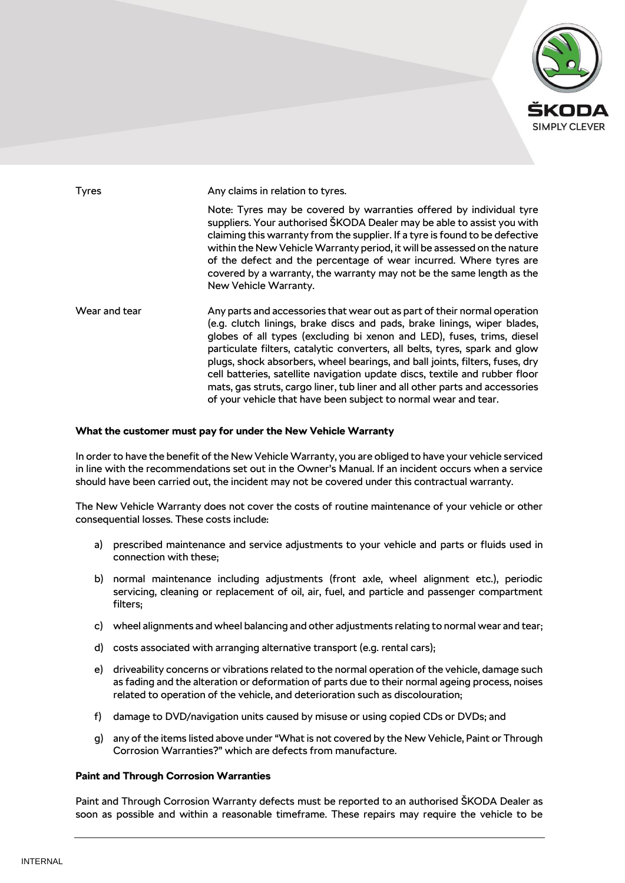

Tyres **Any claims in relation to tyres.** Note: Tyres may be covered by warranties offered by individual tyre suppliers. Your authorised ŠKODA Dealer may be able to assist you with claiming this warranty from the supplier. If a tyre is found to be defective within the New Vehicle Warranty period, it will be assessed on the nature of the defect and the percentage of wear incurred. Where tyres are covered by a warranty, the warranty may not be the same length as the New Vehicle Warranty. Wear and tear Any parts and accessories that wear out as part of their normal operation (e.g. clutch linings, brake discs and pads, brake linings, wiper blades, globes of all types (excluding bi xenon and LED), fuses, trims, diesel particulate filters, catalytic converters, all belts, tyres, spark and glow plugs, shock absorbers, wheel bearings, and ball joints, filters, fuses, dry cell batteries, satellite navigation update discs, textile and rubber floor mats, gas struts, cargo liner, tub liner and all other parts and accessories of your vehicle that have been subject to normal wear and tear.

## **What the customer must pay for under the New Vehicle Warranty**

In order to have the benefit of the New Vehicle Warranty, you are obliged to have your vehicle serviced in line with the recommendations set out in the Owner's Manual. If an incident occurs when a service should have been carried out, the incident may not be covered under this contractual warranty.

The New Vehicle Warranty does not cover the costs of routine maintenance of your vehicle or other consequential losses. These costs include:

- a) prescribed maintenance and service adjustments to your vehicle and parts or fluids used in connection with these;
- b) normal maintenance including adjustments (front axle, wheel alignment etc.), periodic servicing, cleaning or replacement of oil, air, fuel, and particle and passenger compartment filters;
- c) wheel alignments and wheel balancing and other adjustments relating to normal wear and tear;
- d) costs associated with arranging alternative transport (e.g. rental cars);
- e) driveability concerns or vibrations related to the normal operation of the vehicle, damage such as fading and the alteration or deformation of parts due to their normal ageing process, noises related to operation of the vehicle, and deterioration such as discolouration;
- f) damage to DVD/navigation units caused by misuse or using copied CDs or DVDs; and
- g) any of the items listed above under "What is not covered by the New Vehicle, Paint or Through Corrosion Warranties?" which are defects from manufacture.

#### **Paint and Through Corrosion Warranties**

Paint and Through Corrosion Warranty defects must be reported to an authorised ŠKODA Dealer as soon as possible and within a reasonable timeframe. These repairs may require the vehicle to be